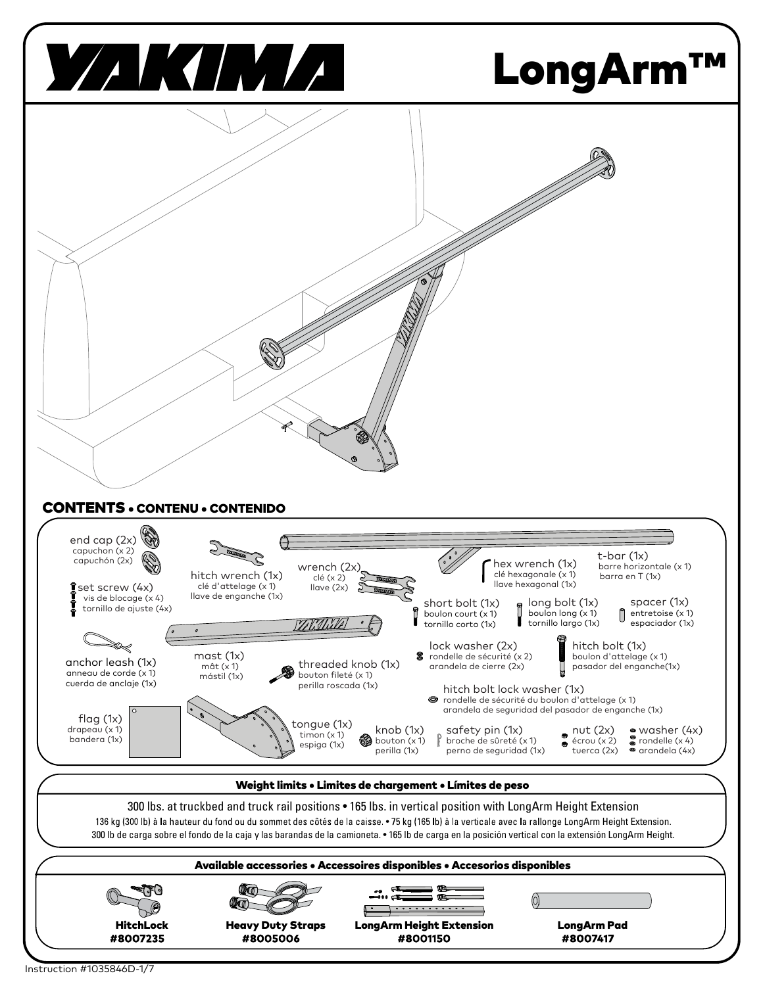

Instruction #1035846D-1/7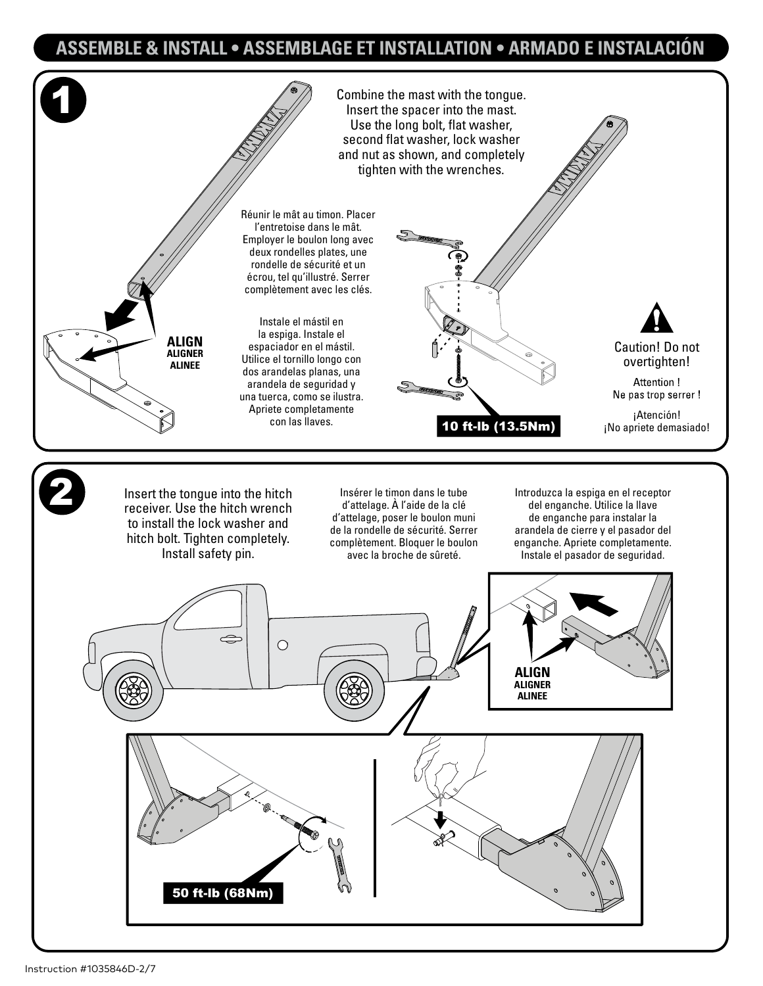## ASSEMBLE & INSTALL • ASSEMBLAGE ET INSTALLATION • ARMADO E INSTALACIÓN

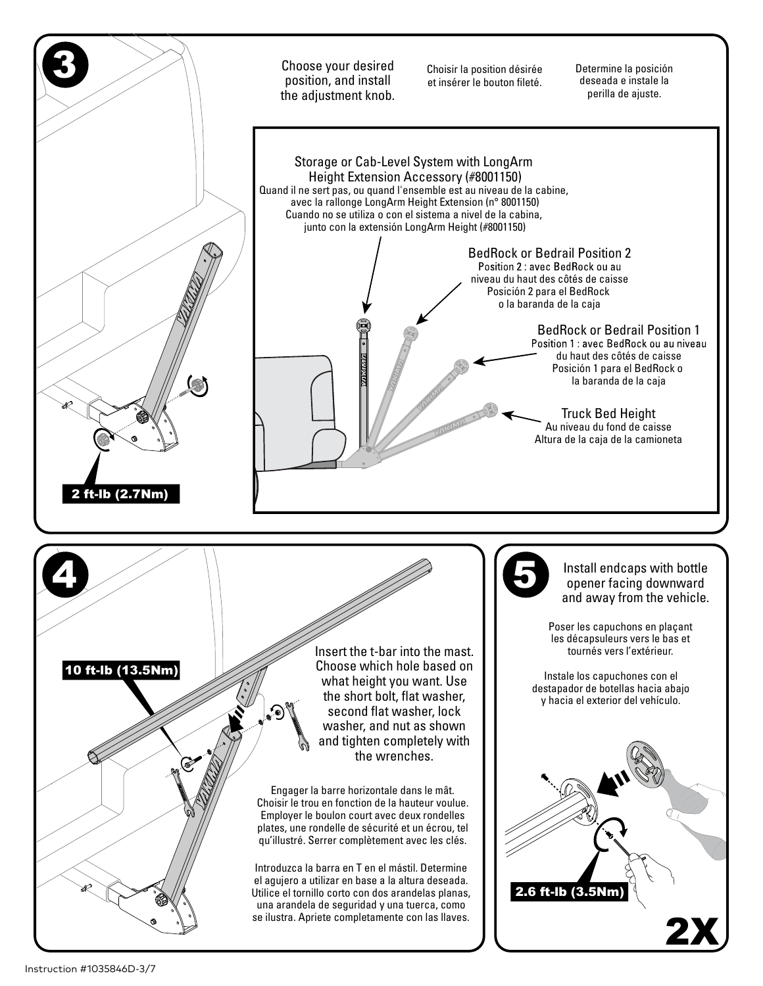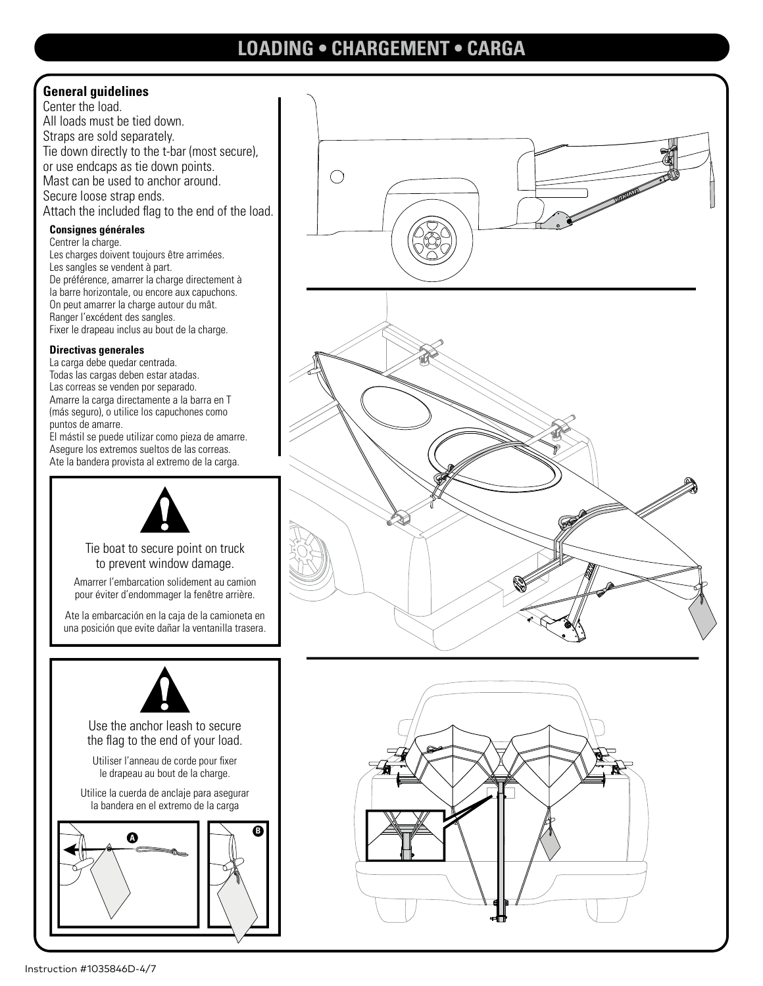# **LOADING . CHARGEMENT . CARGA**

## **General guidelines**

Center the load. All loads must be tied down. Straps are sold separately. Tie down directly to the t-bar (most secure), or use endcaps as tie down points. Mast can be used to anchor around. Secure loose strap ends. Attach the included flag to the end of the load.

### **Consignes générales**

Centrer la charge. Les charges doivent toujours être arrimées. Les sangles se vendent à part. De préférence, amarrer la charge directement à la barre horizontale, ou encore aux capuchons. On peut amarrer la charge autour du mât. Ranger l'excédent des sangles. Fixer le drapeau inclus au bout de la charge.

### **Directivas generales**

La carga debe quedar centrada. Todas las cargas deben estar atadas. Las correas se venden por separado. Amarre la carga directamente a la barra en T (más seguro), o utilice los capuchones como puntos de amarre.

El mástil se puede utilizar como pieza de amarre. Asegure los extremos sueltos de las correas. Ate la bandera provista al extremo de la carga.



Tie boat to secure point on truck to prevent window damage.

Amarrer l'embarcation solidement au camion pour éviter d'endommager la fenêtre arrière.

Ate la embarcación en la caja de la camioneta en una posición que evite dañar la ventanilla trasera.



Use the anchor leash to secure the flag to the end of your load.

Utiliser l'anneau de corde pour fixer le drapeau au bout de la charge.

Utilice la cuerda de anclaje para asegurar la bandera en el extremo de la carga





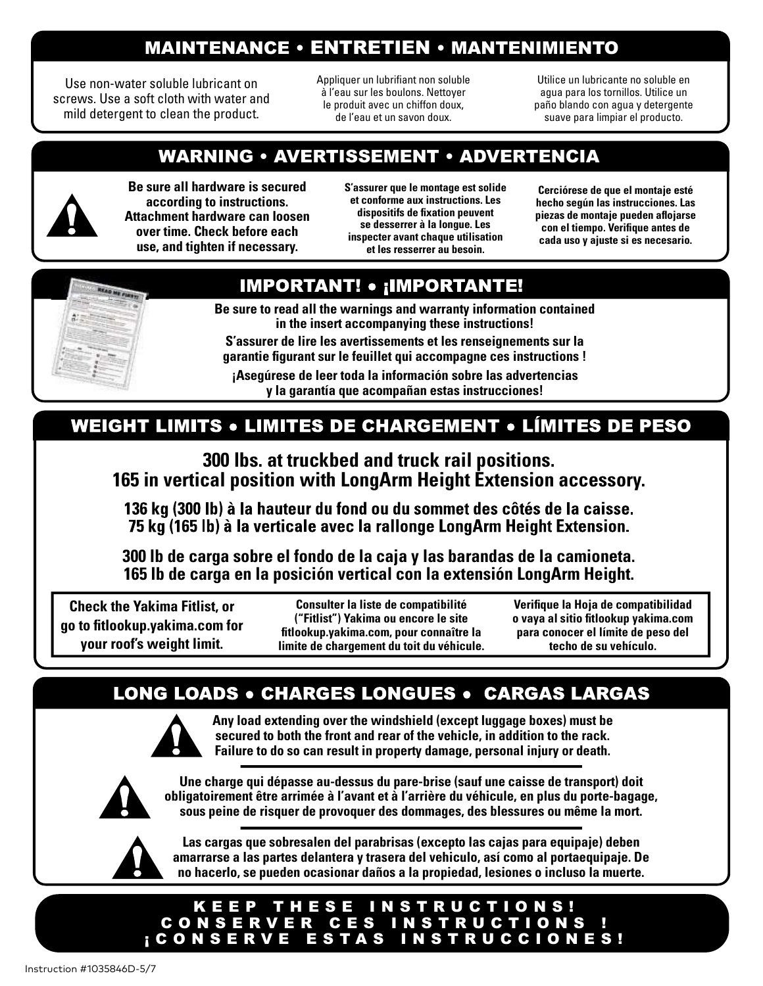# **MAINTENANCE • ENTRETIEN • MANTENIMIENTO**

Use non-water soluble lubricant on screws. Use a soft cloth with water and mild detergent to clean the product.

Appliquer un lubrifiant non soluble à l'eau sur les boulons. Nettover le produit avec un chiffon doux, de l'eau et un savon doux.

Utilice un lubricante no soluble en agua para los tornillos. Utilice un paño blando con aqua y detergente suave para limpiar el producto.

# **WARNING • AVERTISSEMENT • ADVERTENCIA**



Be sure all hardware is secured according to instructions. Attachment hardware can loosen over time. Check before each use, and tighten if necessary.

S'assurer que le montage est solide et conforme aux instructions. Les dispositifs de fixation peuvent se desserrer à la longue. Les inspecter avant chaque utilisation et les resserrer au besoin.

Cerciórese de que el montaje esté hecho según las instrucciones. Las piezas de montaje pueden aflojarse con el tiempo. Verifique antes de cada uso y ajuste si es necesario.

# **IMPORTANT! • ¡IMPORTANTE!**

**EAD ME FIRST!** 

Be sure to read all the warnings and warranty information contained in the insert accompanying these instructions!

S'assurer de lire les avertissements et les renseignements sur la garantie figurant sur le feuillet qui accompagne ces instructions!

¡Asegúrese de leer toda la información sobre las advertencias y la garantía que acompañan estas instrucciones!

# **WEIGHT LIMITS • LIMITES DE CHARGEMENT • LÍMITES DE PESO**

300 lbs. at truckbed and truck rail positions. 165 in vertical position with LongArm Height Extension accessory.

136 kg (300 lb) à la hauteur du fond ou du sommet des côtés de la caisse. 75 kg (165 lb) à la verticale avec la rallonge LongArm Height Extension.

300 lb de carga sobre el fondo de la caja y las barandas de la camioneta. 165 lb de carga en la posición vertical con la extensión LongArm Height.

**Check the Yakima Fitlist, or** go to fitlookup.yakima.com for your roof's weight limit.

**Consulter la liste de compatibilité** ("Fitlist") Yakima ou encore le site fitlookup.yakima.com, pour connaître la limite de chargement du toit du véhicule. Verifique la Hoja de compatibilidad o vaya al sitio fitlookup yakima.com para conocer el límite de peso del techo de su vehículo.

# **LONG LOADS . CHARGES LONGUES . CARGAS LARGAS**



Any load extending over the windshield (except luggage boxes) must be secured to both the front and rear of the vehicle, in addition to the rack. Failure to do so can result in property damage, personal injury or death.



Une charge qui dépasse au-dessus du pare-brise (sauf une caisse de transport) doit obligatoirement être arrimée à l'avant et à l'arrière du véhicule, en plus du porte-bagage, sous peine de risquer de provoquer des dommages, des blessures ou même la mort.



Las cargas que sobresalen del parabrisas (excepto las cajas para equipaje) deben amarrarse a las partes delantera y trasera del vehiculo, así como al portaequipaje. De no hacerlo, se pueden ocasionar daños a la propiedad, lesiones o incluso la muerte.

## KEEP THESE INSTRUCTIONS! CONSERVER CES INSTRUCTIONS **CONSERVE ESTAS INSTRUCCIONES!**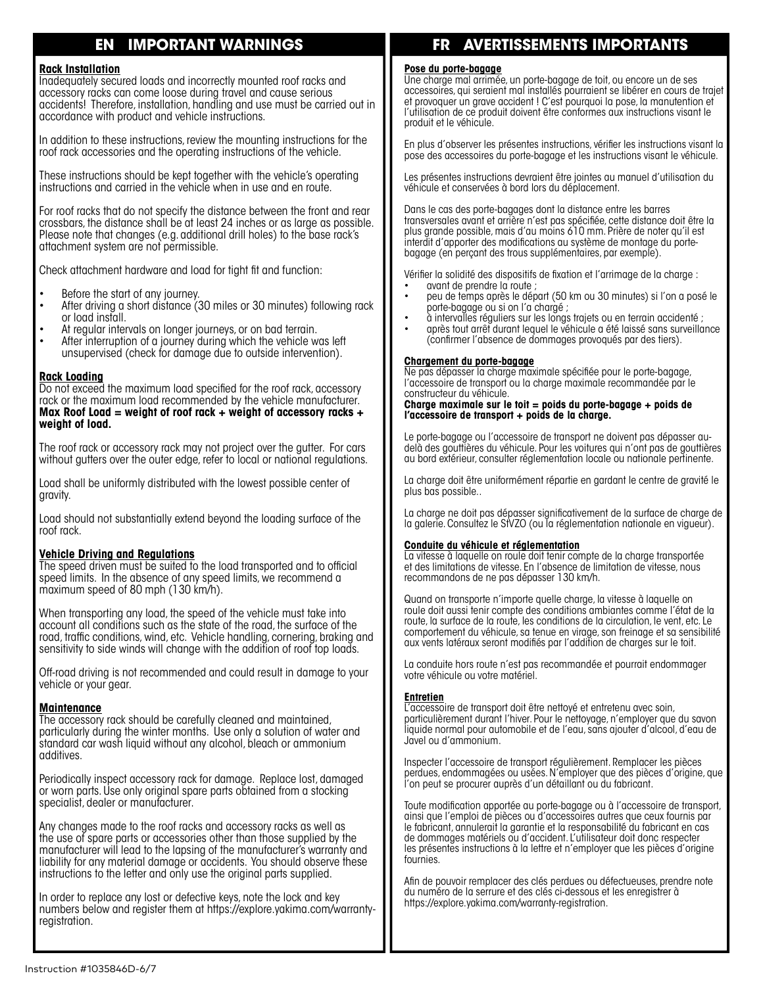#### **IMPORTANT WARNINGS** EN

#### **Rack Installation**

Inadequately secured loads and incorrectly mounted roof racks and accessory racks can come loose during travel and cause serious accidents! Therefore, installation, handling and use must be carried out in accordance with product and vehicle instructions.

In addition to these instructions, review the mounting instructions for the roof rack accessories and the operating instructions of the vehicle.

These instructions should be kept together with the vehicle's operating instructions and carried in the vehicle when in use and en route.

For roof racks that do not specify the distance between the front and rear crossbars, the distance shall be at least 24 inches or as large as possible. Please note that changes (e.g. additional drill holes) to the base rack's attachment system are not permissible.

Check attachment hardware and load for tight fit and function:

- Before the start of any journey.
- After driving a short distance (30 miles or 30 minutes) following rack or load install.
- At regular intervals on longer journeys, or on bad terrain.
- After interruption of a journey during which the vehicle was left unsupervised (check for damage due to outside intervention).

### **Rack Loading**

Do not exceed the maximum load specified for the roof rack, accessory rack or the maximum load recommended by the vehicle manufacturer. Max Roof Load = weight of roof rack + weight of accessory racks + weight of load.

The roof rack or accessory rack may not project over the gutter. For cars without gutters over the outer edge, refer to local or national regulations.

Load shall be uniformly distributed with the lowest possible center of gravity.

Load should not substantially extend beyond the loading surface of the roof rack.

#### **Vehicle Driving and Regulations**

The speed driven must be suited to the load transported and to official speed limits. In the absence of any speed limits, we recommend a maximum speed of 80 mph (130 km/h).

When transporting any load, the speed of the vehicle must take into account all conditions such as the state of the road, the surface of the road, traffic conditions, wind, etc. Vehicle handling, cornering, braking and sensitivity to side winds will change with the addition of roof top loads.

Off-road driving is not recommended and could result in damage to your vehicle or your gear.

#### <u> Maintenance</u>

The accessory rack should be carefully cleaned and maintained, particularly during the winter months. Use only a solution of water and standard car wash liquid without any alcohol, bleach or ammonium additives

Periodically inspect accessory rack for damage. Replace lost, damaged or worn parts. Use only original spare parts obtained from a stocking specialist, dealer or manufacturer.

Any changes made to the roof racks and accessory racks as well as the use of spare parts or accessories other than those supplied by the manufacturer will lead to the lapsing of the manufacturer's warranty and liability for any material damage or accidents. You should observe these instructions to the letter and only use the original parts supplied.

In order to replace any lost or defective keys, note the lock and key numbers below and register them at https://explore.yakima.com/warrantyregistration.

#### **AVERTISSEMENTS IMPORTANTS** FR

Pose du porte-bagage<br>Une charge mal arrimée, un porte-bagage de toit, ou encore un de ses accessoires, qui sergient mal installés pourraient se libérer en cours de trajet et provoquer un grave accident ! C'est pourquoi la pose, la manutention et l'utilisation de ce produit doivent être conformes aux instructions visant le produit et le véhicule.

En plus d'observer les présentes instructions, vérifier les instructions visant la pose des accessoires du porte-bagage et les instructions visant le véhicule.

Les présentes instructions devraient être jointes au manuel d'utilisation du véhicule et conservées à bord lors du déplacement.

Dans le cas des porte-bagages dont la distance entre les barres transversales avant et arrière n'est pas spécifiée, cette distance doit être la plus grande possible, mais d'au moins 610 mm. Prière de noter qu'il est interdit d'apporter des modifications au système de montage du portebagage (en perçant des trous supplémentaires, par exemple).

Vérifier la solidité des dispositifs de fixation et l'arrimage de la charge :

- avant de prendre la route ; peu de temps après le départ (50 km ou 30 minutes) si l'on a posé le
- porte-bagage ou si on l'a chargé;
- à intervalles réguliers sur les longs trajets ou en terrain accidenté ; après tout arrêt durant lequel le véhicule a été laissé sans surveillance
- (confirmer l'absence de dommages provoqués par des tiers).

#### Chargement du porte-bagage

Ne pas dépasser la charge maximale spécifiée pour le porte-bagage, l'accessoire de transport ou la charge maximale recommandée par le constructeur du véhicule.

Charge maximale sur le toit = poids du porte-bagage + poids de l'accessoire de transport + poids de la charge.

Le porte-bagage ou l'accessoire de transport ne doivent pas dépasser audelà des gouttières du véhicule. Pour les voitures qui n'ont pas de gouttières au bord extérieur, consulter réglementation locale ou nationale pertinente.

La charge doit être uniformément répartie en gardant le centre de gravité le plus bas possible..

La charge ne doit pas dépasser significativement de la surface de charge de la galerie. Consultez le StVZO (ou la réglementation nationale en vigueur).

#### Conduite du véhicule et réglementation

La vitesse à laquelle on roule doit tenir compte de la charge transportée et des limitations de vitesse. En l'absence de limitation de vitesse, nous recommandons de ne pas dépasser 130 km/h.

Quand on transporte n'importe quelle charge, la vitesse à laquelle on roule doit aussi tenir compte des conditions ambiantes comme l'état de la route, la surface de la route, les conditions de la circulation, le vent, etc. Le comportement du véhicule, sa tenue en virage, son freinage et sa sensibilité aux vents latéraux seront modifiés par l'addition de charges sur le toit.

La conduite hors route n'est pas recommandée et pourrait endommager votre véhicule ou votre matériel.

### **Entretien**

L'accessoire de transport doit être nettoyé et entretenu avec soin, particulièrement durant l'hiver. Pour le nettoyage, n'employer que du savon<br>liquide normal pour automobile et de l'eau, sans ajouter d'alcool, d'eau de Javel ou d'ammonium.

Inspecter l'accessoire de transport régulièrement. Remplacer les pièces nerdues, endommagées ou usées. N'employer que des pièces d'origine, que<br>l'on peut se procurer auprès d'un détaillant ou du fabricant.

Toute modification apportée au porte-bagage ou à l'accessoire de transport,<br>ainsi que l'emploi de pièces ou d'accessoires autres que ceux fournis par le fabricant, annulerait la garantie et la responsabilité du fabricant en cas de dommages matériels ou d'accident. L'utilisateur doit donc respecter les présentes instructions à la lettre et n'employer que les pièces d'origine fournies.

Afin de pouvoir remplacer des clés perdues ou défectueuses, prendre note du numéro de la serrure et des clés ci-dessous et les enregistrer à https://explore.yakima.com/warranty-registration.